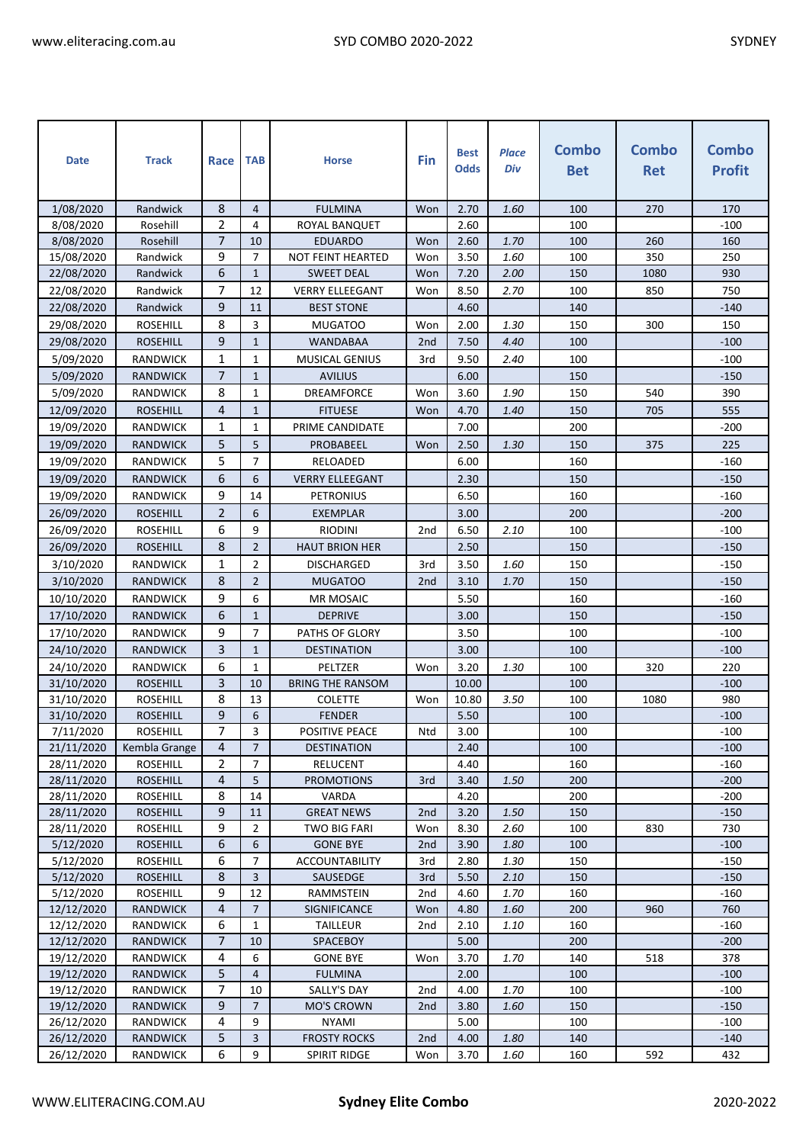| <b>Date</b>              | <b>Track</b>                       | Race                | <b>TAB</b>         | <b>Horse</b>                | Fin             | <b>Best</b><br><b>Odds</b> | <b>Place</b><br>Div | <b>Combo</b><br><b>Bet</b> | <b>Combo</b><br><b>Ret</b> | <b>Combo</b><br><b>Profit</b> |
|--------------------------|------------------------------------|---------------------|--------------------|-----------------------------|-----------------|----------------------------|---------------------|----------------------------|----------------------------|-------------------------------|
| 1/08/2020                | Randwick                           | 8                   | $\overline{4}$     | <b>FULMINA</b>              | Won             | 2.70                       | 1.60                | 100                        | 270                        | 170                           |
| 8/08/2020                | Rosehill                           | $\overline{2}$      | 4                  | ROYAL BANQUET               |                 | 2.60                       |                     | 100                        |                            | $-100$                        |
| 8/08/2020                | Rosehill                           | $\overline{7}$      | 10                 | <b>EDUARDO</b>              | Won             | 2.60                       | 1.70                | 100                        | 260                        | 160                           |
| 15/08/2020               | Randwick                           | 9                   | $\overline{7}$     | <b>NOT FEINT HEARTED</b>    | Won             | 3.50                       | 1.60                | 100                        | 350                        | 250                           |
| 22/08/2020               | Randwick                           | 6                   | $\mathbf{1}$       | <b>SWEET DEAL</b>           | Won             | 7.20                       | 2.00                | 150                        | 1080                       | 930                           |
| 22/08/2020               | Randwick                           | 7                   | 12                 | <b>VERRY ELLEEGANT</b>      | Won             | 8.50                       | 2.70                | 100                        | 850                        | 750                           |
| 22/08/2020               | Randwick                           | 9                   | 11                 | <b>BEST STONE</b>           |                 | 4.60                       |                     | 140                        |                            | $-140$                        |
| 29/08/2020               | <b>ROSEHILL</b>                    | 8                   | 3                  | MUGATOO                     | Won             | 2.00                       | 1.30                | 150                        | 300                        | 150                           |
| 29/08/2020               | <b>ROSEHILL</b>                    | 9                   | $\mathbf{1}$       | WANDABAA                    | 2nd             | 7.50                       | 4.40                | 100                        |                            | $-100$                        |
| 5/09/2020                | <b>RANDWICK</b>                    | $\mathbf{1}$        | $\mathbf{1}$       | <b>MUSICAL GENIUS</b>       | 3rd             | 9.50                       | 2.40                | 100                        |                            | $-100$                        |
| 5/09/2020                | <b>RANDWICK</b>                    | $\overline{7}$      | $\mathbf{1}$       | <b>AVILIUS</b>              |                 | 6.00                       |                     | 150                        |                            | $-150$                        |
| 5/09/2020                | <b>RANDWICK</b>                    | 8                   | $\mathbf{1}$       | <b>DREAMFORCE</b>           | Won             | 3.60                       | 1.90                | 150                        | 540                        | 390                           |
| 12/09/2020               | <b>ROSEHILL</b>                    | 4                   | $\mathbf{1}$       | <b>FITUESE</b>              | Won             | 4.70                       | 1.40                | 150                        | 705                        | 555                           |
| 19/09/2020               | <b>RANDWICK</b>                    | 1                   | $\mathbf{1}$       | PRIME CANDIDATE             |                 | 7.00                       |                     | 200                        |                            | $-200$                        |
| 19/09/2020               | <b>RANDWICK</b>                    | 5                   | 5                  | PROBABEEL                   | Won             | 2.50                       | 1.30                | 150                        | 375                        | 225                           |
| 19/09/2020               | RANDWICK                           | 5                   | 7                  | RELOADED                    |                 | 6.00                       |                     | 160                        |                            | $-160$                        |
| 19/09/2020               | <b>RANDWICK</b>                    | 6                   | 6                  | <b>VERRY ELLEEGANT</b>      |                 | 2.30                       |                     | 150                        |                            | $-150$                        |
| 19/09/2020               | <b>RANDWICK</b>                    | 9                   | 14                 | <b>PETRONIUS</b>            |                 | 6.50                       |                     | 160                        |                            | $-160$                        |
| 26/09/2020               | <b>ROSEHILL</b>                    | $\overline{2}$      | 6                  | <b>EXEMPLAR</b>             |                 | 3.00                       |                     | 200                        |                            | $-200$                        |
| 26/09/2020               | <b>ROSEHILL</b>                    | 6                   | 9                  | <b>RIODINI</b>              | 2 <sub>nd</sub> | 6.50                       | 2.10                | 100                        |                            | $-100$                        |
| 26/09/2020               | <b>ROSEHILL</b>                    | 8                   | $\overline{2}$     | <b>HAUT BRION HER</b>       |                 | 2.50                       |                     | 150                        |                            | $-150$                        |
| 3/10/2020                | RANDWICK                           | 1                   | 2                  | <b>DISCHARGED</b>           | 3rd             | 3.50                       | 1.60                | 150                        |                            | -150                          |
| 3/10/2020                | <b>RANDWICK</b>                    | 8                   | $\overline{2}$     | MUGATOO                     | 2 <sub>nd</sub> | 3.10                       | 1.70                | 150                        |                            | $-150$                        |
| 10/10/2020               | <b>RANDWICK</b>                    | 9                   | 6                  | MR MOSAIC                   |                 | 5.50                       |                     | 160                        |                            | $-160$                        |
| 17/10/2020               | <b>RANDWICK</b>                    | 6                   | $\mathbf{1}$       | <b>DEPRIVE</b>              |                 | 3.00                       |                     | 150                        |                            | $-150$                        |
| 17/10/2020               | RANDWICK                           | 9                   | $\overline{7}$     | PATHS OF GLORY              |                 | 3.50                       |                     | 100                        |                            | $-100$                        |
| 24/10/2020               | <b>RANDWICK</b>                    | 3                   | $\mathbf{1}$       | <b>DESTINATION</b>          |                 | 3.00                       |                     | 100                        |                            | $-100$                        |
| 24/10/2020               | <b>RANDWICK</b>                    | 6                   | $\mathbf{1}$       | PELTZER                     | Won             | 3.20                       | 1.30                | 100                        | 320                        | 220                           |
| 31/10/2020               | <b>ROSEHILL</b>                    | 3                   | 10                 | <b>BRING THE RANSOM</b>     |                 | 10.00                      |                     | 100                        |                            | $-100$                        |
| 31/10/2020               | <b>ROSEHILL</b>                    | 8                   | 13                 | <b>COLETTE</b>              | Won             | 10.80                      | 3.50                | 100                        | 1080                       | 980                           |
| 31/10/2020               | <b>ROSEHILL</b>                    | 9                   | 6                  | <b>FENDER</b>               |                 | 5.50                       |                     | 100                        |                            | $-100$                        |
| 7/11/2020                | <b>ROSEHILL</b>                    | 7                   | 3                  | POSITIVE PEACE              | Ntd             | 3.00                       |                     | 100                        |                            | $-100$                        |
| 21/11/2020               | Kembla Grange                      | 4                   | $\overline{7}$     | <b>DESTINATION</b>          |                 | 2.40                       |                     | 100                        |                            | $-100$                        |
| 28/11/2020               | ROSEHILL                           | 2                   | $\overline{7}$     | RELUCENT                    |                 | 4.40                       |                     | 160                        |                            | -160                          |
| 28/11/2020               | <b>ROSEHILL</b>                    | 4                   | 5                  | <b>PROMOTIONS</b>           | 3rd             | 3.40                       | 1.50                | 200                        |                            | $-200$                        |
| 28/11/2020               | <b>ROSEHILL</b>                    | 8                   | 14                 | VARDA                       |                 | 4.20                       |                     | 200                        |                            | $-200$                        |
| 28/11/2020               | <b>ROSEHILL</b>                    | 9                   | 11                 | <b>GREAT NEWS</b>           | 2nd             | 3.20                       | 1.50                | 150                        |                            | $-150$                        |
| 28/11/2020               | <b>ROSEHILL</b>                    | 9                   | $\overline{2}$     | <b>TWO BIG FARI</b>         | Won             | 8.30                       | 2.60                | 100                        | 830                        | 730                           |
| 5/12/2020                | <b>ROSEHILL</b>                    | 6                   | 6                  | <b>GONE BYE</b>             | 2 <sub>nd</sub> | 3.90                       | 1.80                | 100                        |                            | $-100$                        |
| 5/12/2020                | <b>ROSEHILL</b>                    | 6                   | 7                  | <b>ACCOUNTABILITY</b>       | 3rd             | 2.80                       | 1.30                | 150                        |                            | $-150$                        |
| 5/12/2020                | <b>ROSEHILL</b>                    | 8                   | 3                  | SAUSEDGE                    | 3rd             | 5.50                       | 2.10                | 150                        |                            | $-150$                        |
| 5/12/2020                | <b>ROSEHILL</b>                    | 9                   | 12                 | RAMMSTEIN                   | 2 <sub>nd</sub> | 4.60                       | 1.70                | 160                        |                            | $-160$                        |
| 12/12/2020               | <b>RANDWICK</b>                    | $\overline{4}$      | $\overline{7}$     | SIGNIFICANCE                | Won             | 4.80                       | 1.60                | 200                        | 960                        | 760                           |
| 12/12/2020<br>12/12/2020 | <b>RANDWICK</b><br><b>RANDWICK</b> | 6<br>$\overline{7}$ | $\mathbf{1}$<br>10 | <b>TAILLEUR</b><br>SPACEBOY | 2nd             | 2.10<br>5.00               | 1.10                | 160<br>200                 |                            | $-160$<br>$-200$              |
| 19/12/2020               | <b>RANDWICK</b>                    | 4                   | 6                  | <b>GONE BYE</b>             | Won             | 3.70                       | 1.70                | 140                        | 518                        | 378                           |
| 19/12/2020               | <b>RANDWICK</b>                    | 5                   | $\overline{4}$     | <b>FULMINA</b>              |                 | 2.00                       |                     | 100                        |                            | $-100$                        |
| 19/12/2020               | <b>RANDWICK</b>                    | 7                   | 10                 | SALLY'S DAY                 | 2 <sub>nd</sub> | 4.00                       | 1.70                | 100                        |                            | $-100$                        |
| 19/12/2020               | <b>RANDWICK</b>                    | 9                   | 7                  | <b>MO'S CROWN</b>           | 2 <sub>nd</sub> | 3.80                       | 1.60                | 150                        |                            | $-150$                        |
| 26/12/2020               | <b>RANDWICK</b>                    | 4                   | 9                  | <b>NYAMI</b>                |                 | 5.00                       |                     | 100                        |                            | $-100$                        |
| 26/12/2020               | <b>RANDWICK</b>                    | 5                   | 3                  | <b>FROSTY ROCKS</b>         | 2 <sub>nd</sub> | 4.00                       | 1.80                | 140                        |                            | $-140$                        |
| 26/12/2020               | <b>RANDWICK</b>                    | 6                   | 9                  | SPIRIT RIDGE                | Won             | 3.70                       | 1.60                | 160                        | 592                        | 432                           |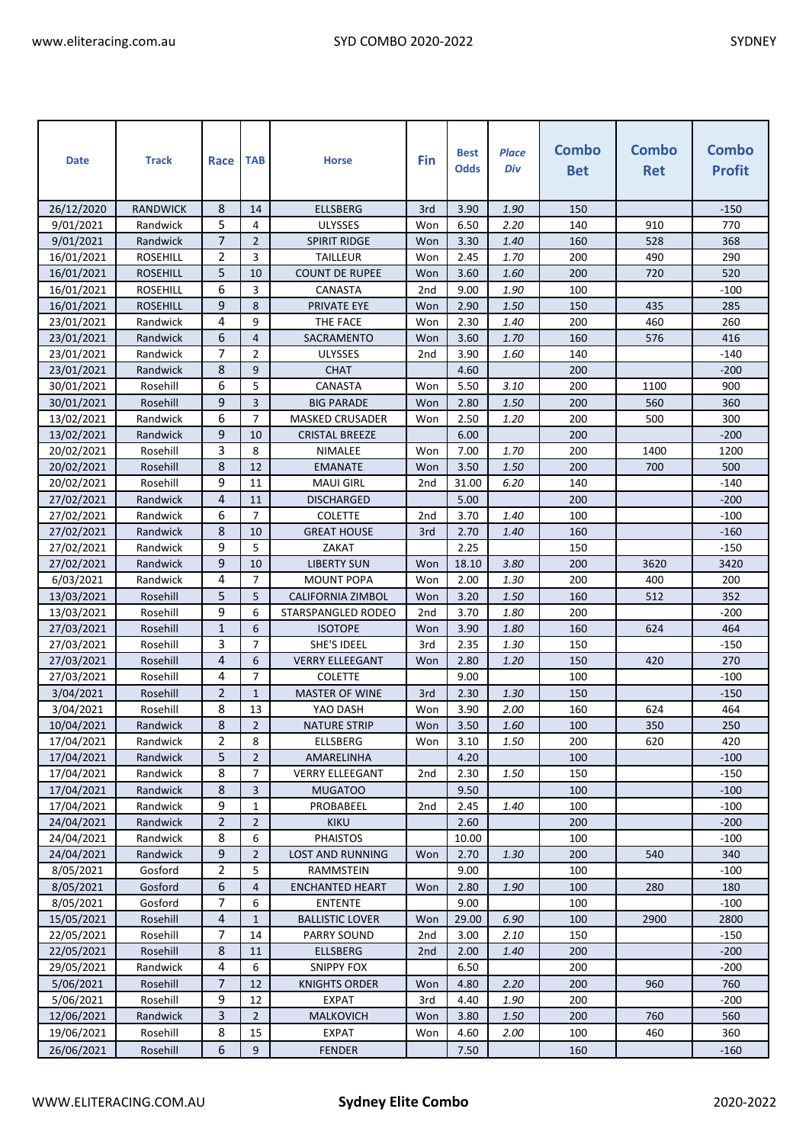| <b>Date</b> | <b>Track</b>    | Race           | <b>TAB</b>     | <b>Horse</b>            | Fin             | <b>Best</b><br><b>Odds</b> | <b>Place</b><br>Div | <b>Combo</b><br><b>Bet</b> | <b>Combo</b><br><b>Ret</b> | <b>Combo</b><br><b>Profit</b> |
|-------------|-----------------|----------------|----------------|-------------------------|-----------------|----------------------------|---------------------|----------------------------|----------------------------|-------------------------------|
| 26/12/2020  | <b>RANDWICK</b> | 8              | 14             | <b>ELLSBERG</b>         | 3rd             | 3.90                       | 1.90                | 150                        |                            | $-150$                        |
| 9/01/2021   | Randwick        | 5              | 4              | ULYSSES                 | Won             | 6.50                       | 2.20                | 140                        | 910                        | 770                           |
| 9/01/2021   | Randwick        | $\overline{7}$ | $\overline{2}$ | <b>SPIRIT RIDGE</b>     | Won             | 3.30                       | 1.40                | 160                        | 528                        | 368                           |
| 16/01/2021  | <b>ROSEHILL</b> | 2              | 3              | <b>TAILLEUR</b>         | Won             | 2.45                       | 1.70                | 200                        | 490                        | 290                           |
| 16/01/2021  | <b>ROSEHILL</b> | 5              | 10             | <b>COUNT DE RUPEE</b>   | Won             | 3.60                       | 1.60                | 200                        | 720                        | 520                           |
| 16/01/2021  | <b>ROSEHILL</b> | 6              | 3              | CANASTA                 | 2 <sub>nd</sub> | 9.00                       | 1.90                | 100                        |                            | $-100$                        |
| 16/01/2021  | <b>ROSEHILL</b> | 9              | 8              | PRIVATE EYE             | Won             | 2.90                       | 1.50                | 150                        | 435                        | 285                           |
| 23/01/2021  | Randwick        | 4              | 9              | THE FACE                | Won             | 2.30                       | 1.40                | 200                        | 460                        | 260                           |
| 23/01/2021  | Randwick        | 6              | 4              | SACRAMENTO              | Won             | 3.60                       | 1.70                | 160                        | 576                        | 416                           |
| 23/01/2021  | Randwick        | 7              | 2              | <b>ULYSSES</b>          | 2 <sub>nd</sub> | 3.90                       | 1.60                | 140                        |                            | $-140$                        |
| 23/01/2021  | Randwick        | 8              | 9              | <b>CHAT</b>             |                 | 4.60                       |                     | 200                        |                            | $-200$                        |
| 30/01/2021  | Rosehill        | 6              | 5              | CANASTA                 | Won             | 5.50                       | 3.10                | 200                        | 1100                       | 900                           |
| 30/01/2021  | Rosehill        | 9              | 3              | <b>BIG PARADE</b>       | Won             | 2.80                       | 1.50                | 200                        | 560                        | 360                           |
| 13/02/2021  | Randwick        | 6              | $\overline{7}$ | <b>MASKED CRUSADER</b>  | Won             | 2.50                       | 1.20                | 200                        | 500                        | 300                           |
| 13/02/2021  | Randwick        | 9              | 10             | <b>CRISTAL BREEZE</b>   |                 | 6.00                       |                     | 200                        |                            | $-200$                        |
| 20/02/2021  | Rosehill        | 3              | 8              | NIMALEE                 | Won             | 7.00                       | 1.70                | 200                        | 1400                       | 1200                          |
| 20/02/2021  | Rosehill        | 8              | 12             | <b>EMANATE</b>          | Won             | 3.50                       | 1.50                | 200                        | 700                        | 500                           |
| 20/02/2021  | Rosehill        | 9              | 11             | <b>MAUI GIRL</b>        | 2 <sub>nd</sub> | 31.00                      | 6.20                | 140                        |                            | $-140$                        |
| 27/02/2021  | Randwick        | 4              | 11             | <b>DISCHARGED</b>       |                 | 5.00                       |                     | 200                        |                            | $-200$                        |
| 27/02/2021  | Randwick        | 6              | $\overline{7}$ | <b>COLETTE</b>          | 2 <sub>nd</sub> | 3.70                       | 1.40                | 100                        |                            | $-100$                        |
| 27/02/2021  | Randwick        | 8              | 10             | <b>GREAT HOUSE</b>      | 3rd             | 2.70                       | 1.40                | 160                        |                            | $-160$                        |
| 27/02/2021  | Randwick        | 9              | 5              | ZAKAT                   |                 | 2.25                       |                     | 150                        |                            | $-150$                        |
| 27/02/2021  | Randwick        | 9              | 10             | <b>LIBERTY SUN</b>      | Won             | 18.10                      | 3.80                | 200                        | 3620                       | 3420                          |
| 6/03/2021   | Randwick        | 4              | $\overline{7}$ | <b>MOUNT POPA</b>       | Won             | 2.00                       | 1.30                | 200                        | 400                        | 200                           |
| 13/03/2021  | Rosehill        | 5              | 5              | CALIFORNIA ZIMBOL       | Won             | 3.20                       | 1.50                | 160                        | 512                        | 352                           |
| 13/03/2021  | Rosehill        | 9              | 6              | STARSPANGLED RODEO      | 2 <sub>nd</sub> | 3.70                       | 1.80                | 200                        |                            | $-200$                        |
| 27/03/2021  | Rosehill        | $\mathbf{1}$   | 6              | <b>ISOTOPE</b>          | Won             | 3.90                       | 1.80                | 160                        | 624                        | 464                           |
| 27/03/2021  | Rosehill        | 3              | $\overline{7}$ | SHE'S IDEEL             | 3rd             | 2.35                       | 1.30                | 150                        |                            | $-150$                        |
| 27/03/2021  | Rosehill        | $\overline{4}$ | 6              | <b>VERRY ELLEEGANT</b>  | Won             | 2.80                       | 1.20                | 150                        | 420                        | 270                           |
| 27/03/2021  | Rosehill        | 4              | $\overline{7}$ | <b>COLETTE</b>          |                 | 9.00                       |                     | 100                        |                            | $-100$                        |
| 3/04/2021   | Rosehill        | $\overline{2}$ | $\mathbf{1}$   | <b>MASTER OF WINE</b>   | 3rd             | 2.30                       | 1.30                | 150                        |                            | $-150$                        |
| 3/04/2021   | Rosehill        | 8              | 13             | YAO DASH                | Won             | 3.90                       | 2.00                | 160                        | 624                        | 464                           |
| 10/04/2021  | Randwick        | 8              | $2^{\circ}$    | <b>NATURE STRIP</b>     | Won             | 3.50                       | 1.60                | 100                        | 350                        | 250                           |
| 17/04/2021  | Randwick        | 2              | 8              | ELLSBERG                | Won             | 3.10                       | 1.50                | 200                        | 620                        | 420                           |
| 17/04/2021  | Randwick        | 5              | $\overline{2}$ | AMARELINHA              |                 | 4.20                       |                     | 100                        |                            | $-100$                        |
| 17/04/2021  | Randwick        | 8              | 7              | <b>VERRY ELLEEGANT</b>  | 2 <sub>nd</sub> | 2.30                       | 1.50                | 150                        |                            | $-150$                        |
| 17/04/2021  | Randwick        | 8              | 3              | <b>MUGATOO</b>          |                 | 9.50                       |                     | 100                        |                            | $-100$                        |
| 17/04/2021  | Randwick        | 9              | $\mathbf{1}$   | PROBABEEL               | 2 <sub>nd</sub> | 2.45                       | 1.40                | 100                        |                            | $-100$                        |
| 24/04/2021  | Randwick        | $\overline{2}$ | $\overline{2}$ | <b>KIKU</b>             |                 | 2.60                       |                     | 200                        |                            | $-200$                        |
| 24/04/2021  | Randwick        | 8              | 6              | <b>PHAISTOS</b>         |                 | 10.00                      |                     | 100                        |                            | $-100$                        |
| 24/04/2021  | Randwick        | 9              | $\overline{2}$ | <b>LOST AND RUNNING</b> | Won             | 2.70                       | 1.30                | 200                        | 540                        | 340                           |
| 8/05/2021   | Gosford         | 2              | 5              | RAMMSTEIN               |                 | 9.00                       |                     | 100                        |                            | -100                          |
| 8/05/2021   | Gosford         | 6              | 4              | <b>ENCHANTED HEART</b>  | Won             | 2.80                       | 1.90                | 100                        | 280                        | 180                           |
| 8/05/2021   | Gosford         | $\overline{7}$ | 6              | <b>ENTENTE</b>          |                 | 9.00                       |                     | 100                        |                            | -100                          |
| 15/05/2021  | Rosehill        | 4              | $\mathbf{1}$   | <b>BALLISTIC LOVER</b>  | Won             | 29.00                      | 6.90                | 100                        | 2900                       | 2800                          |
| 22/05/2021  | Rosehill        | 7              | 14             | PARRY SOUND             | 2nd             | 3.00                       | 2.10                | 150                        |                            | $-150$                        |
| 22/05/2021  | Rosehill        | 8              | 11             | <b>ELLSBERG</b>         | 2 <sub>nd</sub> | 2.00                       | 1.40                | 200                        |                            | $-200$                        |
| 29/05/2021  | Randwick        | 4              | 6              | <b>SNIPPY FOX</b>       |                 | 6.50                       |                     | 200                        |                            | $-200$                        |
| 5/06/2021   | Rosehill        | $\overline{7}$ | 12             | KNIGHTS ORDER           | Won             | 4.80                       | 2.20                | 200                        | 960                        | 760                           |
| 5/06/2021   | Rosehill        | 9              | 12             | <b>EXPAT</b>            | 3rd             | 4.40                       | 1.90                | 200                        |                            | $-200$                        |
| 12/06/2021  | Randwick        | 3              | $\overline{2}$ | <b>MALKOVICH</b>        | Won             | 3.80                       | 1.50                | 200                        | 760                        | 560                           |
| 19/06/2021  | Rosehill        | 8              | 15             | <b>EXPAT</b>            | Won             | 4.60                       | 2.00                | 100                        | 460                        | 360                           |
| 26/06/2021  | Rosehill        | 6              | 9              | <b>FENDER</b>           |                 | 7.50                       |                     | 160                        |                            | $-160$                        |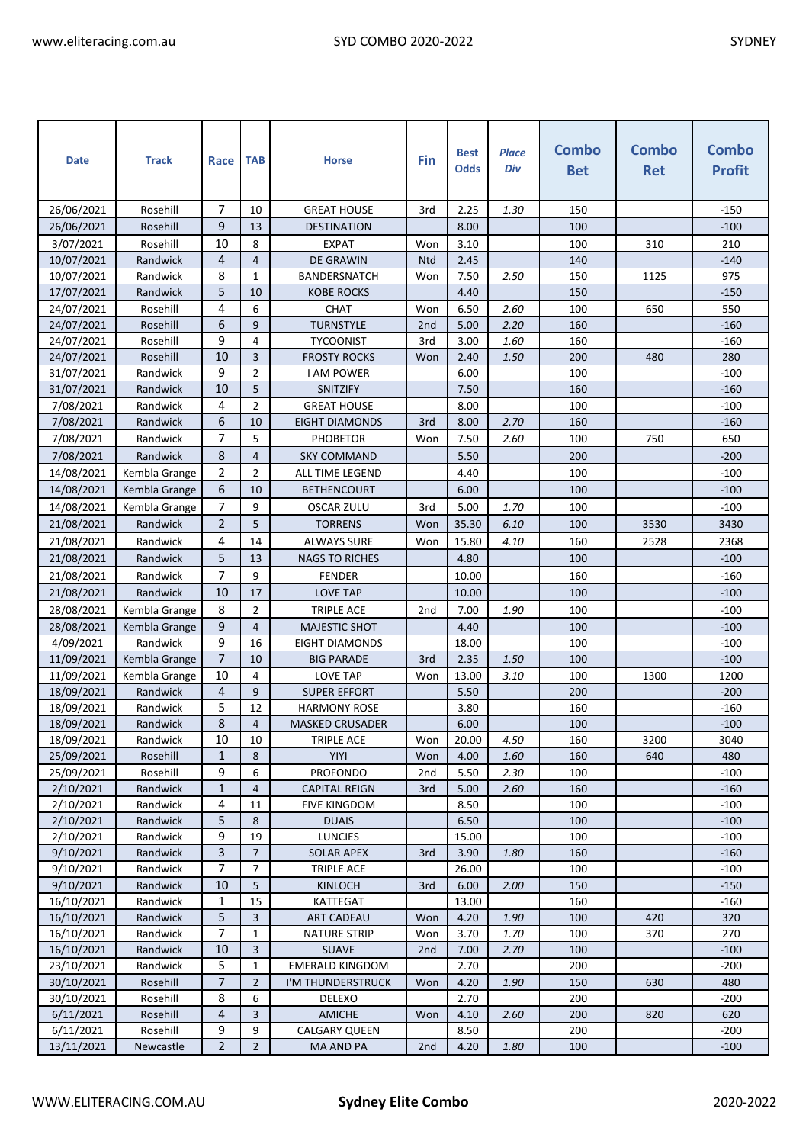| <b>Date</b>              | <b>Track</b>         | Race              | <b>TAB</b>     | <b>Horse</b>                                | Fin                    | <b>Best</b><br><b>Odds</b> | <b>Place</b><br>Div | <b>Combo</b><br><b>Bet</b> | <b>Combo</b><br><b>Ret</b> | <b>Combo</b><br><b>Profit</b> |
|--------------------------|----------------------|-------------------|----------------|---------------------------------------------|------------------------|----------------------------|---------------------|----------------------------|----------------------------|-------------------------------|
|                          |                      |                   |                |                                             |                        |                            |                     |                            |                            |                               |
| 26/06/2021               | Rosehill             | 7                 | 10             | <b>GREAT HOUSE</b>                          | 3rd                    | 2.25                       | 1.30                | 150                        |                            | $-150$                        |
| 26/06/2021               | Rosehill             | 9                 | 13             | <b>DESTINATION</b>                          |                        | 8.00                       |                     | 100                        |                            | $-100$                        |
| 3/07/2021                | Rosehill             | 10                | 8              | <b>EXPAT</b>                                | Won                    | 3.10                       |                     | 100                        | 310                        | 210                           |
| 10/07/2021               | Randwick             | 4                 | $\overline{4}$ | <b>DE GRAWIN</b>                            | <b>Ntd</b>             | 2.45                       |                     | 140                        |                            | $-140$                        |
| 10/07/2021               | Randwick             | 8                 | 1              | <b>BANDERSNATCH</b>                         | Won                    | 7.50                       | 2.50                | 150                        | 1125                       | 975                           |
| 17/07/2021               | Randwick             | 5                 | 10             | KOBE ROCKS                                  |                        | 4.40                       |                     | 150                        |                            | $-150$                        |
| 24/07/2021               | Rosehill             | 4                 | 6              | CHAT                                        | Won                    | 6.50                       | 2.60                | 100                        | 650                        | 550                           |
| 24/07/2021               | Rosehill<br>Rosehill | 6<br>9            | 9<br>4         | <b>TURNSTYLE</b><br><b>TYCOONIST</b>        | 2 <sub>nd</sub><br>3rd | 5.00<br>3.00               | 2.20<br>1.60        | 160<br>160                 |                            | $-160$<br>$-160$              |
| 24/07/2021               |                      | 10                | 3              |                                             | Won                    | 2.40                       | 1.50                | 200                        | 480                        | 280                           |
| 24/07/2021<br>31/07/2021 | Rosehill<br>Randwick | 9                 | $\overline{2}$ | <b>FROSTY ROCKS</b><br><b>I AM POWER</b>    |                        | 6.00                       |                     | 100                        |                            | $-100$                        |
| 31/07/2021               | Randwick             | 10                | 5              | SNITZIFY                                    |                        | 7.50                       |                     | 160                        |                            | $-160$                        |
| 7/08/2021                | Randwick             | 4                 | $\overline{2}$ | <b>GREAT HOUSE</b>                          |                        | 8.00                       |                     | 100                        |                            | $-100$                        |
| 7/08/2021                | Randwick             | 6                 | 10             | <b>EIGHT DIAMONDS</b>                       | 3rd                    | 8.00                       | 2.70                | 160                        |                            | $-160$                        |
| 7/08/2021                | Randwick             | 7                 | 5              | PHOBETOR                                    | Won                    | 7.50                       | 2.60                | 100                        | 750                        | 650                           |
| 7/08/2021                | Randwick             | 8                 | $\overline{4}$ | <b>SKY COMMAND</b>                          |                        | 5.50                       |                     | 200                        |                            | $-200$                        |
|                          |                      | $\overline{2}$    | $\overline{2}$ |                                             |                        | 4.40                       |                     | 100                        |                            | $-100$                        |
| 14/08/2021               | Kembla Grange        | 6                 | 10             | ALL TIME LEGEND                             |                        |                            |                     |                            |                            |                               |
| 14/08/2021               | Kembla Grange        | 7                 |                | <b>BETHENCOURT</b>                          |                        | 6.00                       |                     | 100                        |                            | $-100$                        |
| 14/08/2021               | Kembla Grange        |                   | 9              | <b>OSCAR ZULU</b>                           | 3rd                    | 5.00                       | 1.70                | 100                        |                            | $-100$                        |
| 21/08/2021               | Randwick             | $\overline{2}$    | 5              | <b>TORRENS</b>                              | Won                    | 35.30                      | 6.10                | 100                        | 3530                       | 3430                          |
| 21/08/2021               | Randwick             | 4                 | 14             | <b>ALWAYS SURE</b>                          | Won                    | 15.80                      | 4.10                | 160                        | 2528                       | 2368                          |
| 21/08/2021               | Randwick             | 5                 | 13             | <b>NAGS TO RICHES</b>                       |                        | 4.80                       |                     | 100                        |                            | $-100$                        |
| 21/08/2021               | Randwick             | 7                 | 9              | <b>FENDER</b>                               |                        | 10.00                      |                     | 160                        |                            | $-160$                        |
| 21/08/2021               | Randwick             | 10                | 17             | <b>LOVE TAP</b>                             |                        | 10.00                      |                     | 100                        |                            | $-100$                        |
| 28/08/2021               | Kembla Grange        | 8                 | $\overline{2}$ | <b>TRIPLE ACE</b>                           | 2 <sub>nd</sub>        | 7.00                       | 1.90                | 100                        |                            | $-100$                        |
| 28/08/2021               | Kembla Grange        | 9                 | 4              | <b>MAJESTIC SHOT</b>                        |                        | 4.40                       |                     | 100                        |                            | $-100$                        |
| 4/09/2021                | Randwick             | 9                 | 16             | EIGHT DIAMONDS                              |                        | 18.00                      |                     | 100                        |                            | $-100$                        |
| 11/09/2021               | Kembla Grange        | $\overline{7}$    | 10             | <b>BIG PARADE</b>                           | 3rd                    | 2.35                       | 1.50                | 100                        |                            | $-100$                        |
| 11/09/2021               | Kembla Grange        | 10                | 4              | <b>LOVE TAP</b>                             | Won                    | 13.00                      | 3.10                | 100                        | 1300                       | 1200                          |
| 18/09/2021               | Randwick             | $\overline{4}$    | 9              | <b>SUPER EFFORT</b>                         |                        | 5.50                       |                     | 200                        |                            | -200                          |
| 18/09/2021               | Randwick             | 5                 | 12             | <b>HARMONY ROSE</b>                         |                        | 3.80                       |                     | 160                        |                            | -160                          |
| 18/09/2021               | Randwick             | 8                 | $\overline{4}$ | MASKED CRUSADER                             |                        | $6.00\,$                   |                     | 100                        |                            | $-100$                        |
| 18/09/2021               | Randwick             | 10                | 10             | TRIPLE ACE                                  | Won                    | 20.00                      | 4.50                | 160                        | 3200                       | 3040                          |
| 25/09/2021               | Rosehill             | $\mathbf{1}$<br>9 | 8<br>6         | YIYI<br><b>PROFONDO</b>                     | Won                    | 4.00                       | 1.60                | 160                        | 640                        | 480                           |
| 25/09/2021               | Rosehill<br>Randwick | $\mathbf 1$       | 4              |                                             | 2 <sub>nd</sub><br>3rd | 5.50                       | 2.30                | 100<br>160                 |                            | $-100$<br>$-160$              |
| 2/10/2021<br>2/10/2021   | Randwick             | 4                 | 11             | <b>CAPITAL REIGN</b><br><b>FIVE KINGDOM</b> |                        | 5.00<br>8.50               | 2.60                | 100                        |                            | $-100$                        |
| 2/10/2021                | Randwick             | 5                 | 8              | <b>DUAIS</b>                                |                        | 6.50                       |                     | 100                        |                            | $-100$                        |
| 2/10/2021                | Randwick             | 9                 | 19             | <b>LUNCIES</b>                              |                        | 15.00                      |                     | 100                        |                            | $-100$                        |
| 9/10/2021                | Randwick             | 3                 | $\overline{7}$ | <b>SOLAR APEX</b>                           | 3rd                    | 3.90                       | 1.80                | 160                        |                            | $-160$                        |
| 9/10/2021                | Randwick             | 7                 | 7              | TRIPLE ACE                                  |                        | 26.00                      |                     | 100                        |                            | $-100$                        |
| 9/10/2021                | Randwick             | 10                | 5              | KINLOCH                                     | 3rd                    | 6.00                       | 2.00                | 150                        |                            | $-150$                        |
| 16/10/2021               | Randwick             | 1                 | 15             | KATTEGAT                                    |                        | 13.00                      |                     | 160                        |                            | $-160$                        |
| 16/10/2021               | Randwick             | 5                 | 3              | <b>ART CADEAU</b>                           | Won                    | 4.20                       | 1.90                | 100                        | 420                        | 320                           |
| 16/10/2021               | Randwick             | 7                 | $\mathbf{1}$   | <b>NATURE STRIP</b>                         | Won                    | 3.70                       | 1.70                | 100                        | 370                        | 270                           |
| 16/10/2021               | Randwick             | 10                | 3              | <b>SUAVE</b>                                | 2 <sub>nd</sub>        | 7.00                       | 2.70                | 100                        |                            | $-100$                        |
| 23/10/2021               | Randwick             | 5                 | $\mathbf{1}$   | <b>EMERALD KINGDOM</b>                      |                        | 2.70                       |                     | 200                        |                            | $-200$                        |
| 30/10/2021               | Rosehill             | 7                 | $\overline{2}$ | I'M THUNDERSTRUCK                           | Won                    | 4.20                       | 1.90                | 150                        | 630                        | 480                           |
| 30/10/2021               | Rosehill             | 8                 | 6              | DELEXO                                      |                        | 2.70                       |                     | 200                        |                            | $-200$                        |
| 6/11/2021                | Rosehill             | 4                 | 3              | <b>AMICHE</b>                               | Won                    | 4.10                       | 2.60                | 200                        | 820                        | 620                           |
| 6/11/2021                | Rosehill             | 9                 | 9              | CALGARY QUEEN                               |                        | 8.50                       |                     | 200                        |                            | $-200$                        |
| 13/11/2021               | Newcastle            | $\overline{2}$    | $\overline{2}$ | MA AND PA                                   | 2 <sub>nd</sub>        | 4.20                       | 1.80                | 100                        |                            | $-100$                        |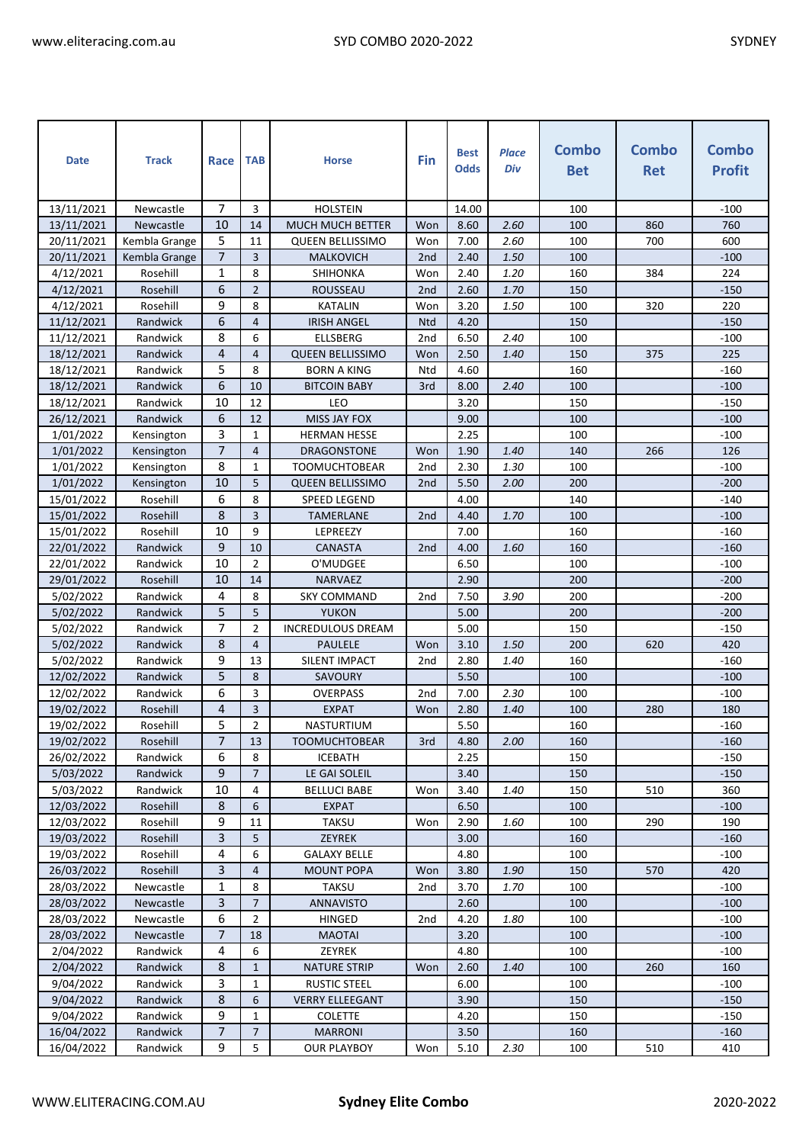| <b>Date</b> | <b>Track</b>  | Race           | <b>TAB</b>     | <b>Horse</b>             | Fin             | <b>Best</b><br><b>Odds</b> | <b>Place</b><br>Div | Combo<br><b>Bet</b> | Combo<br><b>Ret</b> | <b>Combo</b><br><b>Profit</b> |
|-------------|---------------|----------------|----------------|--------------------------|-----------------|----------------------------|---------------------|---------------------|---------------------|-------------------------------|
| 13/11/2021  | Newcastle     | 7              | 3              | <b>HOLSTEIN</b>          |                 | 14.00                      |                     | 100                 |                     | $-100$                        |
| 13/11/2021  | Newcastle     | 10             | 14             | <b>MUCH MUCH BETTER</b>  | Won             | 8.60                       | 2.60                | 100                 | 860                 | 760                           |
| 20/11/2021  | Kembla Grange | 5              | 11             | <b>QUEEN BELLISSIMO</b>  | Won             | 7.00                       | 2.60                | 100                 | 700                 | 600                           |
| 20/11/2021  | Kembla Grange | $\overline{7}$ | 3              | <b>MALKOVICH</b>         | 2 <sub>nd</sub> | 2.40                       | 1.50                | 100                 |                     | $-100$                        |
| 4/12/2021   | Rosehill      | 1              | 8              | SHIHONKA                 | Won             | 2.40                       | 1.20                | 160                 | 384                 | 224                           |
| 4/12/2021   | Rosehill      | 6              | $\overline{2}$ | <b>ROUSSEAU</b>          | 2 <sub>nd</sub> | 2.60                       | 1.70                | 150                 |                     | $-150$                        |
| 4/12/2021   | Rosehill      | 9              | 8              | <b>KATALIN</b>           | Won             | 3.20                       | 1.50                | 100                 | 320                 | 220                           |
| 11/12/2021  | Randwick      | 6              | 4              | <b>IRISH ANGEL</b>       | <b>Ntd</b>      | 4.20                       |                     | 150                 |                     | $-150$                        |
| 11/12/2021  | Randwick      | 8              | 6              | <b>ELLSBERG</b>          | 2 <sub>nd</sub> | 6.50                       | 2.40                | 100                 |                     | $-100$                        |
| 18/12/2021  | Randwick      | 4              | 4              | <b>QUEEN BELLISSIMO</b>  | Won             | 2.50                       | 1.40                | 150                 | 375                 | 225                           |
| 18/12/2021  | Randwick      | 5              | 8              | <b>BORN A KING</b>       | Ntd             | 4.60                       |                     | 160                 |                     | $-160$                        |
| 18/12/2021  | Randwick      | 6              | 10             | <b>BITCOIN BABY</b>      | 3rd             | 8.00                       | 2.40                | 100                 |                     | $-100$                        |
| 18/12/2021  | Randwick      | 10             | 12             | LEO                      |                 | 3.20                       |                     | 150                 |                     | $-150$                        |
| 26/12/2021  | Randwick      | 6              | 12             | MISS JAY FOX             |                 | 9.00                       |                     | 100                 |                     | $-100$                        |
| 1/01/2022   | Kensington    | 3              | $\mathbf{1}$   | <b>HERMAN HESSE</b>      |                 | 2.25                       |                     | 100                 |                     | $-100$                        |
| 1/01/2022   | Kensington    | $\overline{7}$ | $\overline{4}$ | DRAGONSTONE              | Won             | 1.90                       | 1.40                | 140                 | 266                 | 126                           |
| 1/01/2022   | Kensington    | 8              | $\mathbf{1}$   | <b>TOOMUCHTOBEAR</b>     | 2nd             | 2.30                       | 1.30                | 100                 |                     | $-100$                        |
| 1/01/2022   | Kensington    | 10             | 5              | <b>QUEEN BELLISSIMO</b>  | 2 <sub>nd</sub> | 5.50                       | 2.00                | 200                 |                     | $-200$                        |
| 15/01/2022  | Rosehill      | 6              | 8              | SPEED LEGEND             |                 | 4.00                       |                     | 140                 |                     | $-140$                        |
| 15/01/2022  | Rosehill      | 8              | 3              | <b>TAMERLANE</b>         | 2nd             | 4.40                       | 1.70                | 100                 |                     | $-100$                        |
| 15/01/2022  | Rosehill      | 10             | 9              | LEPREEZY                 |                 | 7.00                       |                     | 160                 |                     | $-160$                        |
| 22/01/2022  | Randwick      | 9              | 10             | CANASTA                  | 2 <sub>nd</sub> | 4.00                       | 1.60                | 160                 |                     | $-160$                        |
| 22/01/2022  | Randwick      | 10             | $\overline{2}$ | O'MUDGEE                 |                 | 6.50                       |                     | 100                 |                     | $-100$                        |
| 29/01/2022  | Rosehill      | 10             | 14             | <b>NARVAEZ</b>           |                 | 2.90                       |                     | 200                 |                     | $-200$                        |
| 5/02/2022   | Randwick      | 4              | 8              | <b>SKY COMMAND</b>       | 2 <sub>nd</sub> | 7.50                       | 3.90                | 200                 |                     | $-200$                        |
| 5/02/2022   | Randwick      | 5              | 5              | <b>YUKON</b>             |                 | 5.00                       |                     | 200                 |                     | $-200$                        |
| 5/02/2022   | Randwick      | 7              | $\overline{2}$ | <b>INCREDULOUS DREAM</b> |                 | 5.00                       |                     | 150                 |                     | $-150$                        |
| 5/02/2022   | Randwick      | 8              | $\overline{4}$ | <b>PAULELE</b>           | Won             | 3.10                       | 1.50                | 200                 | 620                 | 420                           |
| 5/02/2022   | Randwick      | 9              | 13             | SILENT IMPACT            | 2 <sub>nd</sub> | 2.80                       | 1.40                | 160                 |                     | $-160$                        |
| 12/02/2022  | Randwick      | 5              | 8              | SAVOURY                  |                 | 5.50                       |                     | 100                 |                     | $-100$                        |
| 12/02/2022  | Randwick      | 6              | 3              | <b>OVERPASS</b>          | 2nd             | 7.00                       | 2.30                | 100                 |                     | $-100$                        |
| 19/02/2022  | Rosehill      | 4              | 3              | <b>EXPAT</b>             | Won             | 2.80                       | 1.40                | 100                 | 280                 | 180                           |
| 19/02/2022  | Rosehill      | 5              | $\overline{2}$ | NASTURTIUM               |                 | 5.50                       |                     | 160                 |                     | $-160$                        |
| 19/02/2022  | Rosehill      | $\overline{7}$ | 13             | <b>TOOMUCHTOBEAR</b>     | 3rd             | 4.80                       | 2.00                | 160                 |                     | $-160$                        |
| 26/02/2022  | Randwick      | 6              | 8              | <b>ICEBATH</b>           |                 | 2.25                       |                     | 150                 |                     | $-150$                        |
| 5/03/2022   | Randwick      | 9              | $\overline{7}$ | LE GAI SOLEIL            |                 | 3.40                       |                     | 150                 |                     | $-150$                        |
| 5/03/2022   | Randwick      | 10             | 4              | <b>BELLUCI BABE</b>      | Won             | 3.40                       | 1.40                | 150                 | 510                 | 360                           |
| 12/03/2022  | Rosehill      | 8              | 6              | <b>EXPAT</b>             |                 | 6.50                       |                     | 100                 |                     | $-100$                        |
| 12/03/2022  | Rosehill      | 9              | 11             | TAKSU                    | Won             | 2.90                       | 1.60                | 100                 | 290                 | 190                           |
| 19/03/2022  | Rosehill      | 3              | 5              | <b>ZEYREK</b>            |                 | 3.00                       |                     | 160                 |                     | $-160$                        |
| 19/03/2022  | Rosehill      | 4              | 6              | <b>GALAXY BELLE</b>      |                 | 4.80                       |                     | 100                 |                     | -100                          |
| 26/03/2022  | Rosehill      | 3              | 4              | <b>MOUNT POPA</b>        | Won             | 3.80                       | 1.90                | 150                 | 570                 | 420                           |
| 28/03/2022  | Newcastle     | 1              | 8              | <b>TAKSU</b>             | 2 <sub>nd</sub> | 3.70                       | 1.70                | 100                 |                     | $-100$                        |
| 28/03/2022  | Newcastle     | 3              | $\overline{7}$ | <b>ANNAVISTO</b>         |                 | 2.60                       |                     | 100                 |                     | $-100$                        |
| 28/03/2022  | Newcastle     | 6              | $\overline{2}$ | <b>HINGED</b>            | 2nd             | 4.20                       | 1.80                | 100                 |                     | $-100$                        |
| 28/03/2022  | Newcastle     | $\overline{7}$ | 18             | <b>MAOTAI</b>            |                 | 3.20                       |                     | 100                 |                     | $-100$                        |
| 2/04/2022   | Randwick      | 4              | 6              | ZEYREK                   |                 | 4.80                       |                     | 100                 |                     | $-100$                        |
| 2/04/2022   | Randwick      | 8              | $\mathbf{1}$   | <b>NATURE STRIP</b>      | Won             | 2.60                       | 1.40                | 100                 | 260                 | 160                           |
| 9/04/2022   | Randwick      | 3              | $\mathbf{1}$   | <b>RUSTIC STEEL</b>      |                 | 6.00                       |                     | 100                 |                     | $-100$                        |
| 9/04/2022   | Randwick      | 8              | 6              | <b>VERRY ELLEEGANT</b>   |                 | 3.90                       |                     | 150                 |                     | $-150$                        |
| 9/04/2022   | Randwick      | 9              | 1              | <b>COLETTE</b>           |                 | 4.20                       |                     | 150                 |                     | $-150$                        |
| 16/04/2022  | Randwick      | $\overline{7}$ | $\overline{7}$ | <b>MARRONI</b>           |                 | 3.50                       |                     | 160                 |                     | $-160$                        |
| 16/04/2022  | Randwick      | 9              | 5              | <b>OUR PLAYBOY</b>       | Won             | 5.10                       | 2.30                | 100                 | 510                 | 410                           |